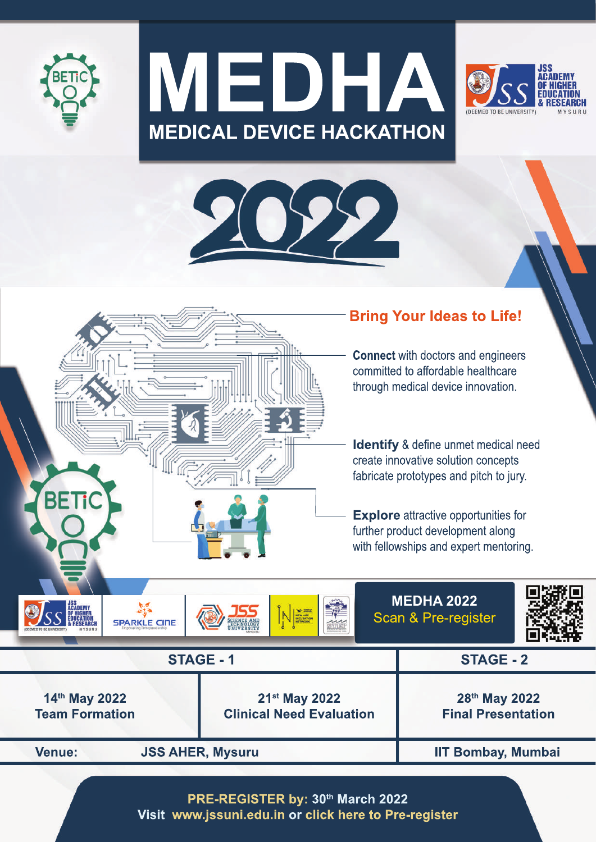









PRE-REGISTER by: 30th March 2022 Visit www.jssuni.edu.in or click here to Pre-register